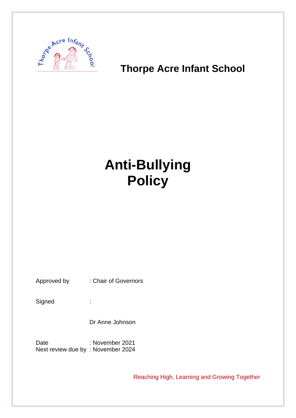

# **Thorpe Acre Infant School**

# **Anti-Bullying Policy**

Approved by : Chair of Governors

Signed :

Dr Anne Johnson

Date : November 2021 Next review due by : November 2024

Reaching High, Learning and Growing Together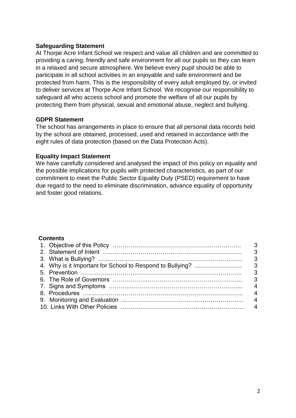#### **Safeguarding Statement**

At Thorpe Acre Infant School we respect and value all children and are committed to providing a caring, friendly and safe environment for all our pupils so they can learn in a relaxed and secure atmosphere. We believe every pupil should be able to participate in all school activities in an enjoyable and safe environment and be protected from harm. This is the responsibility of every adult employed by, or invited to deliver services at Thorpe Acre Infant School. We recognise our responsibility to safeguard all who access school and promote the welfare of all our pupils by protecting them from physical, sexual and emotional abuse, neglect and bullying.

#### **GDPR Statement**

The school has arrangements in place to ensure that all personal data records held by the school are obtained, processed, used and retained in accordance with the eight rules of data protection (based on the Data Protection Acts).

#### **Equality Impact Statement**

We have carefully considered and analysed the impact of this policy on equality and the possible implications for pupils with protected characteristics, as part of our commitment to meet the Public Sector Equality Duty (PSED) requirement to have due regard to the need to eliminate discrimination, advance equality of opportunity and foster good relations.

#### **Contents**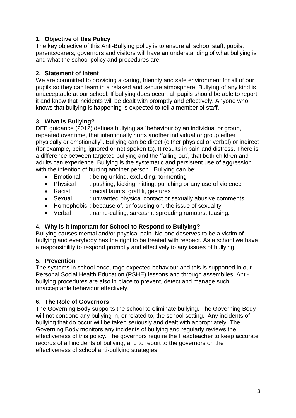# **1. Objective of this Policy**

The key objective of this Anti-Bullying policy is to ensure all school staff, pupils, parents/carers, governors and visitors will have an understanding of what bullying is and what the school policy and procedures are.

# **2. Statement of Intent**

We are committed to providing a caring, friendly and safe environment for all of our pupils so they can learn in a relaxed and secure atmosphere. Bullying of any kind is unacceptable at our school. If bullying does occur, all pupils should be able to report it and know that incidents will be dealt with promptly and effectively. Anyone who knows that bullying is happening is expected to tell a member of staff.

# **3. What is Bullying?**

DFE guidance (2012) defines bullying as "behaviour by an individual or group, repeated over time, that intentionally hurts another individual or group either physically or emotionally". Bullying can be direct (either physical or verbal) or indirect (for example, being ignored or not spoken to). It results in pain and distress. There is a difference between targeted bullying and the 'falling out', that both children and adults can experience. Bullying is the systematic and persistent use of aggression with the intention of hurting another person. Bullying can be:

- Emotional : being unkind, excluding, tormenting
- Physical : pushing, kicking, hitting, punching or any use of violence
- Racist : racial taunts, graffiti, gestures
- Sexual : unwanted physical contact or sexually abusive comments
- Homophobic: because of, or focusing on, the issue of sexuality
- Verbal : name-calling, sarcasm, spreading rumours, teasing.

# **4. Why is it Important for School to Respond to Bullying?**

Bullying causes mental and/or physical pain. No-one deserves to be a victim of bullying and everybody has the right to be treated with respect. As a school we have a responsibility to respond promptly and effectively to any issues of bullying.

# **5. Prevention**

The systems in school encourage expected behaviour and this is supported in our Personal Social Health Education (PSHE) lessons and through assemblies. Antibullying procedures are also in place to prevent, detect and manage such unacceptable behaviour effectively.

# **6. The Role of Governors**

The Governing Body supports the school to eliminate bullying. The Governing Body will not condone any bullying in, or related to, the school setting. Any incidents of bullying that do occur will be taken seriously and dealt with appropriately. The Governing Body monitors any incidents of bullying and regularly reviews the effectiveness of this policy. The governors require the Headteacher to keep accurate records of all incidents of bullying, and to report to the governors on the effectiveness of school anti-bullying strategies.